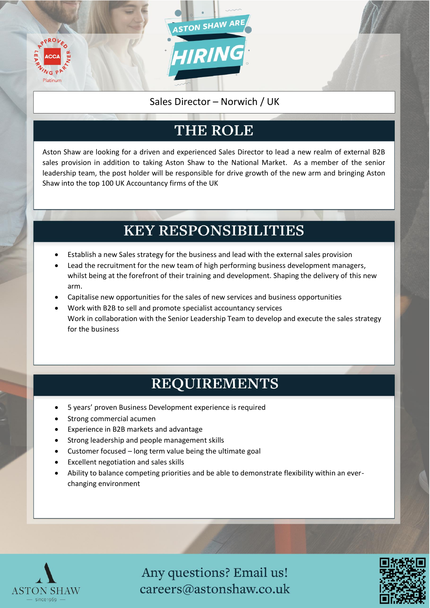

#### Sales Director – Norwich / UK

### THE ROLE

Aston Shaw are looking for a driven and experienced Sales Director to lead a new realm of external B2B sales provision in addition to taking Aston Shaw to the National Market. As a member of the senior leadership team, the post holder will be responsible for drive growth of the new arm and bringing Aston Shaw into the top 100 UK Accountancy firms of the UK

#### **KEY RESPONSIBILITIES**

- Establish a new Sales strategy for the business and lead with the external sales provision
- Lead the recruitment for the new team of high performing business development managers, whilst being at the forefront of their training and development. Shaping the delivery of this new arm.
- Capitalise new opportunities for the sales of new services and business opportunities
- Work with B2B to sell and promote specialist accountancy services Work in collaboration with the Senior Leadership Team to develop and execute the sales strategy for the business

#### **REQUIREMENTS**

- 5 years' proven Business Development experience is required
- Strong commercial acumen
- Experience in B2B markets and advantage
- Strong leadership and people management skills
- Customer focused long term value being the ultimate goal
- Excellent negotiation and sales skills
- Ability to balance competing priorities and be able to demonstrate flexibility within an everchanging environment



Any questions? Email us! careers@astonshaw.co.uk